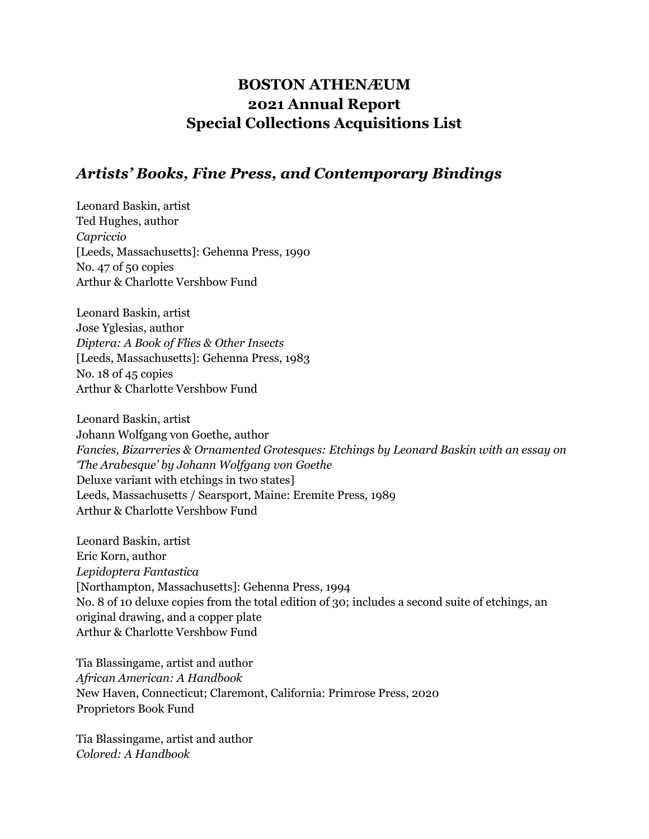## **BOSTON ATHENÆUM 2021 Annual Report Special Collections Acquisitions List**

### *Artists' Books, Fine Press, and Contemporary Bindings*

Leonard Baskin, artist Ted Hughes, author *Capriccio* [Leeds, Massachusetts]: Gehenna Press, 1990 No. 47 of 50 copies Arthur & Charlotte Vershbow Fund

Leonard Baskin, artist Jose Yglesias, author *Diptera: A Book of Flies & Other Insects* [Leeds, Massachusetts]: Gehenna Press, 1983 No. 18 of 45 copies Arthur & Charlotte Vershbow Fund

Leonard Baskin, artist Johann Wolfgang von Goethe, author *Fancies, Bizarreries & Ornamented Grotesques: Etchings by Leonard Baskin with an essay on 'The Arabesque' by Johann Wolfgang von Goethe* Deluxe variant with etchings in two states] Leeds, Massachusetts / Searsport, Maine: Eremite Press, 1989 Arthur & Charlotte Vershbow Fund

Leonard Baskin, artist Eric Korn, author *Lepidoptera Fantastica* [Northampton, Massachusetts]: Gehenna Press, 1994 No. 8 of 10 deluxe copies from the total edition of 30; includes a second suite of etchings, an original drawing, and a copper plate Arthur & Charlotte Vershbow Fund

Tia Blassingame, artist and author *African American: A Handbook* New Haven, Connecticut; Claremont, California: Primrose Press, 2020 Proprietors Book Fund

Tia Blassingame, artist and author *Colored: A Handbook*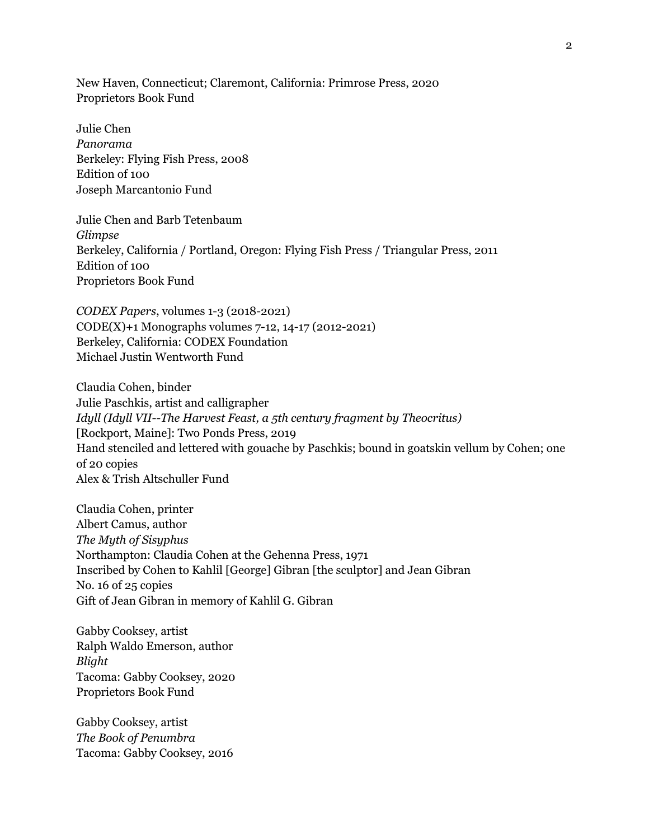New Haven, Connecticut; Claremont, California: Primrose Press, 2020 Proprietors Book Fund

Julie Chen *Panorama* Berkeley: Flying Fish Press, 2008 Edition of 100 Joseph Marcantonio Fund

Julie Chen and Barb Tetenbaum *Glimpse* Berkeley, California / Portland, Oregon: Flying Fish Press / Triangular Press, 2011 Edition of 100 Proprietors Book Fund

*CODEX Papers*, volumes 1-3 (2018-2021) CODE(X)+1 Monographs volumes 7-12, 14-17 (2012-2021) Berkeley, California: CODEX Foundation Michael Justin Wentworth Fund

Claudia Cohen, binder Julie Paschkis, artist and calligrapher *Idyll (Idyll VII--The Harvest Feast, a 5th century fragment by Theocritus)* [Rockport, Maine]: Two Ponds Press, 2019 Hand stenciled and lettered with gouache by Paschkis; bound in goatskin vellum by Cohen; one of 20 copies Alex & Trish Altschuller Fund

Claudia Cohen, printer Albert Camus, author *The Myth of Sisyphus* Northampton: Claudia Cohen at the Gehenna Press, 1971 Inscribed by Cohen to Kahlil [George] Gibran [the sculptor] and Jean Gibran No. 16 of 25 copies Gift of Jean Gibran in memory of Kahlil G. Gibran

Gabby Cooksey, artist Ralph Waldo Emerson, author *Blight* Tacoma: Gabby Cooksey, 2020 Proprietors Book Fund

Gabby Cooksey, artist *The Book of Penumbra* Tacoma: Gabby Cooksey, 2016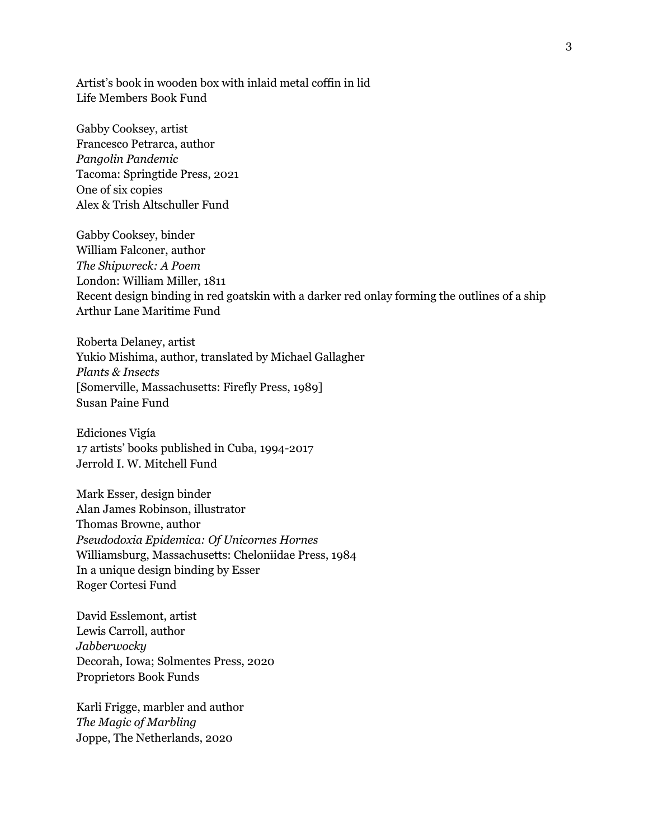Artist's book in wooden box with inlaid metal coffin in lid Life Members Book Fund

Gabby Cooksey, artist Francesco Petrarca, author *Pangolin Pandemic* Tacoma: Springtide Press, 2021 One of six copies Alex & Trish Altschuller Fund

Gabby Cooksey, binder William Falconer, author *The Shipwreck: A Poem* London: William Miller, 1811 Recent design binding in red goatskin with a darker red onlay forming the outlines of a ship Arthur Lane Maritime Fund

Roberta Delaney, artist Yukio Mishima, author, translated by Michael Gallagher *Plants & Insects* [Somerville, Massachusetts: Firefly Press, 1989] Susan Paine Fund

Ediciones Vigía 17 artists' books published in Cuba, 1994-2017 Jerrold I. W. Mitchell Fund

Mark Esser, design binder Alan James Robinson, illustrator Thomas Browne, author *Pseudodoxia Epidemica: Of Unicornes Hornes* Williamsburg, Massachusetts: Cheloniidae Press, 1984 In a unique design binding by Esser Roger Cortesi Fund

David Esslemont, artist Lewis Carroll, author *Jabberwocky* Decorah, Iowa; Solmentes Press, 2020 Proprietors Book Funds

Karli Frigge, marbler and author *The Magic of Marbling* Joppe, The Netherlands, 2020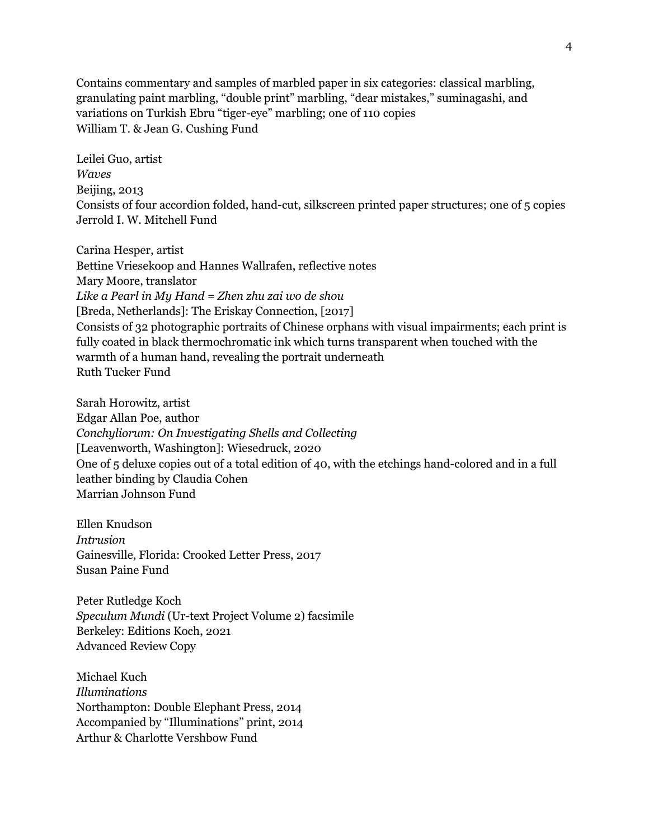Contains commentary and samples of marbled paper in six categories: classical marbling, granulating paint marbling, "double print" marbling, "dear mistakes," suminagashi, and variations on Turkish Ebru "tiger-eye" marbling; one of 110 copies William T. & Jean G. Cushing Fund

Leilei Guo, artist *Waves* Beijing, 2013 Consists of four accordion folded, hand-cut, silkscreen printed paper structures; one of 5 copies Jerrold I. W. Mitchell Fund

Carina Hesper, artist Bettine Vriesekoop and Hannes Wallrafen, reflective notes Mary Moore, translator *Like a Pearl in My Hand = Zhen zhu zai wo de shou* [Breda, Netherlands]: The Eriskay Connection, [2017] Consists of 32 photographic portraits of Chinese orphans with visual impairments; each print is fully coated in black thermochromatic ink which turns transparent when touched with the warmth of a human hand, revealing the portrait underneath Ruth Tucker Fund

Sarah Horowitz, artist Edgar Allan Poe, author *Conchyliorum: On Investigating Shells and Collecting* [Leavenworth, Washington]: Wiesedruck, 2020 One of 5 deluxe copies out of a total edition of 40, with the etchings hand-colored and in a full leather binding by Claudia Cohen Marrian Johnson Fund

Ellen Knudson *Intrusion* Gainesville, Florida: Crooked Letter Press, 2017 Susan Paine Fund

Peter Rutledge Koch *Speculum Mundi* (Ur-text Project Volume 2) facsimile Berkeley: Editions Koch, 2021 Advanced Review Copy

Michael Kuch *Illuminations* Northampton: Double Elephant Press, 2014 Accompanied by "Illuminations" print, 2014 Arthur & Charlotte Vershbow Fund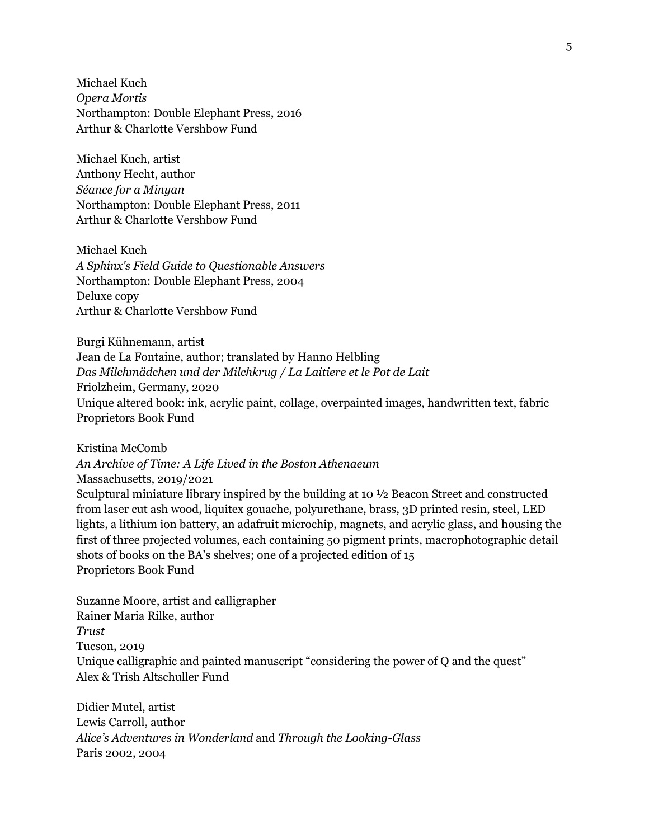Michael Kuch *Opera Mortis* Northampton: Double Elephant Press, 2016 Arthur & Charlotte Vershbow Fund

Michael Kuch, artist Anthony Hecht, author *Séance for a Minyan* Northampton: Double Elephant Press, 2011 Arthur & Charlotte Vershbow Fund

Michael Kuch *A Sphinx's Field Guide to Questionable Answers* Northampton: Double Elephant Press, 2004 Deluxe copy Arthur & Charlotte Vershbow Fund

Burgi Kühnemann, artist Jean de La Fontaine, author; translated by Hanno Helbling *Das Milchmädchen und der Milchkrug / La Laitiere et le Pot de Lait* Friolzheim, Germany, 2020 Unique altered book: ink, acrylic paint, collage, overpainted images, handwritten text, fabric Proprietors Book Fund

Kristina McComb

*An Archive of Time: A Life Lived in the Boston Athenaeum* Massachusetts, 2019/2021 Sculptural miniature library inspired by the building at 10 ½ Beacon Street and constructed from laser cut ash wood, liquitex gouache, polyurethane, brass, 3D printed resin, steel, LED lights, a lithium ion battery, an adafruit microchip, magnets, and acrylic glass, and housing the first of three projected volumes, each containing 50 pigment prints, macrophotographic detail shots of books on the BA's shelves; one of a projected edition of 15 Proprietors Book Fund

Suzanne Moore, artist and calligrapher Rainer Maria Rilke, author *Trust* Tucson, 2019 Unique calligraphic and painted manuscript "considering the power of Q and the quest" Alex & Trish Altschuller Fund

Didier Mutel, artist Lewis Carroll, author *Alice's Adventures in Wonderland* and *Through the Looking-Glass* Paris 2002, 2004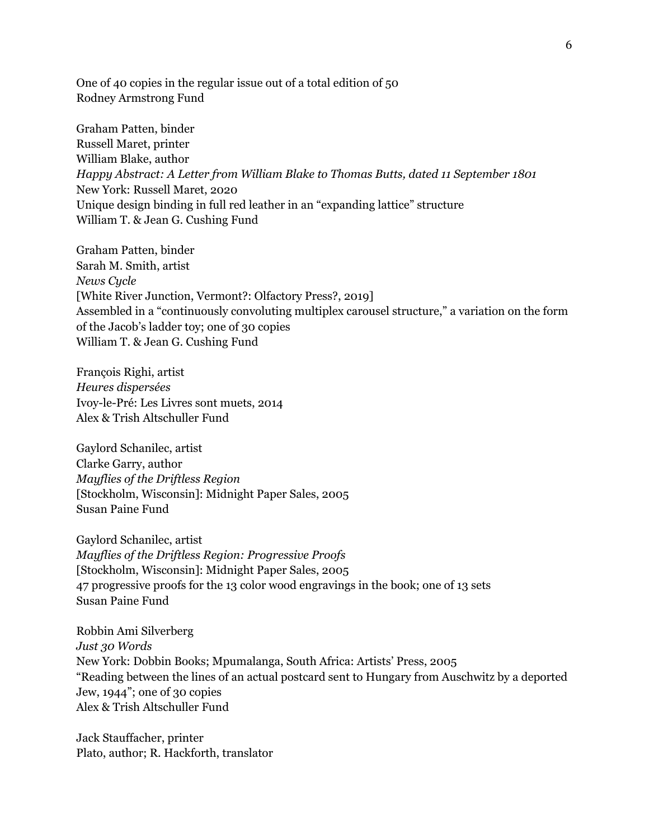One of 40 copies in the regular issue out of a total edition of 50 Rodney Armstrong Fund

Graham Patten, binder Russell Maret, printer William Blake, author *Happy Abstract: A Letter from William Blake to Thomas Butts, dated 11 September 1801* New York: Russell Maret, 2020 Unique design binding in full red leather in an "expanding lattice" structure William T. & Jean G. Cushing Fund

Graham Patten, binder Sarah M. Smith, artist *News Cycle* [White River Junction, Vermont?: Olfactory Press?, 2019] Assembled in a "continuously convoluting multiplex carousel structure," a variation on the form of the Jacob's ladder toy; one of 30 copies William T. & Jean G. Cushing Fund

François Righi, artist *Heures dispersées* Ivoy-le-Pré: Les Livres sont muets, 2014 Alex & Trish Altschuller Fund

Gaylord Schanilec, artist Clarke Garry, author *Mayflies of the Driftless Region* [Stockholm, Wisconsin]: Midnight Paper Sales, 2005 Susan Paine Fund

Gaylord Schanilec, artist *Mayflies of the Driftless Region: Progressive Proofs* [Stockholm, Wisconsin]: Midnight Paper Sales, 2005 47 progressive proofs for the 13 color wood engravings in the book; one of 13 sets Susan Paine Fund

Robbin Ami Silverberg *Just 30 Words* New York: Dobbin Books; Mpumalanga, South Africa: Artists' Press, 2005 "Reading between the lines of an actual postcard sent to Hungary from Auschwitz by a deported Jew, 1944"; one of 30 copies Alex & Trish Altschuller Fund

Jack Stauffacher, printer Plato, author; R. Hackforth, translator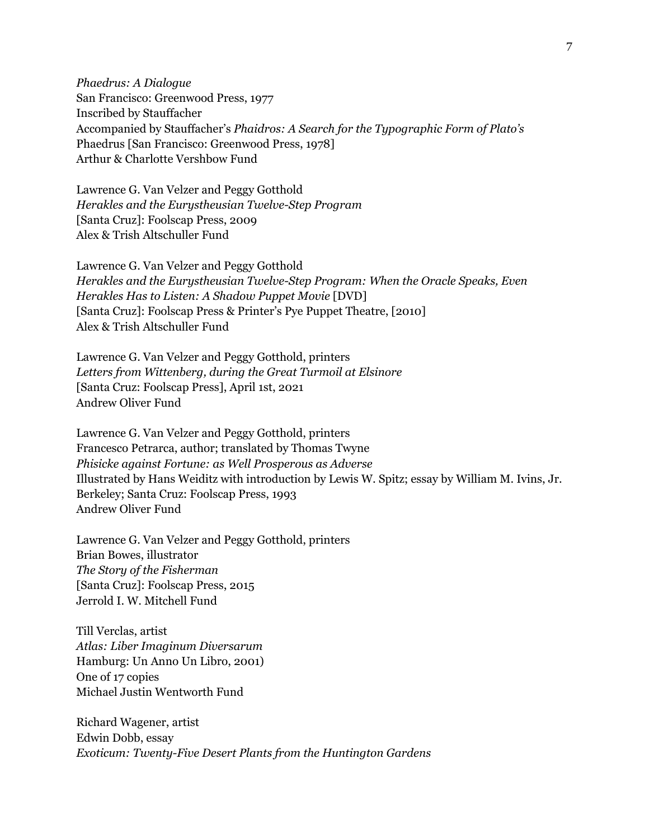*Phaedrus: A Dialogue* San Francisco: Greenwood Press, 1977 Inscribed by Stauffacher Accompanied by Stauffacher's *Phaidros: A Search for the Typographic Form of Plato's* Phaedrus [San Francisco: Greenwood Press, 1978] Arthur & Charlotte Vershbow Fund

Lawrence G. Van Velzer and Peggy Gotthold *Herakles and the Eurystheusian Twelve-Step Program* [Santa Cruz]: Foolscap Press, 2009 Alex & Trish Altschuller Fund

Lawrence G. Van Velzer and Peggy Gotthold *Herakles and the Eurystheusian Twelve-Step Program: When the Oracle Speaks, Even Herakles Has to Listen: A Shadow Puppet Movie* [DVD] [Santa Cruz]: Foolscap Press & Printer's Pye Puppet Theatre, [2010] Alex & Trish Altschuller Fund

Lawrence G. Van Velzer and Peggy Gotthold, printers *Letters from Wittenberg, during the Great Turmoil at Elsinore* [Santa Cruz: Foolscap Press], April 1st, 2021 Andrew Oliver Fund

Lawrence G. Van Velzer and Peggy Gotthold, printers Francesco Petrarca, author; translated by Thomas Twyne *Phisicke against Fortune: as Well Prosperous as Adverse* Illustrated by Hans Weiditz with introduction by Lewis W. Spitz; essay by William M. Ivins, Jr. Berkeley; Santa Cruz: Foolscap Press, 1993 Andrew Oliver Fund

Lawrence G. Van Velzer and Peggy Gotthold, printers Brian Bowes, illustrator *The Story of the Fisherman* [Santa Cruz]: Foolscap Press, 2015 Jerrold I. W. Mitchell Fund

Till Verclas, artist *Atlas: Liber Imaginum Diversarum* Hamburg: Un Anno Un Libro, 2001) One of 17 copies Michael Justin Wentworth Fund

Richard Wagener, artist Edwin Dobb, essay *Exoticum: Twenty-Five Desert Plants from the Huntington Gardens*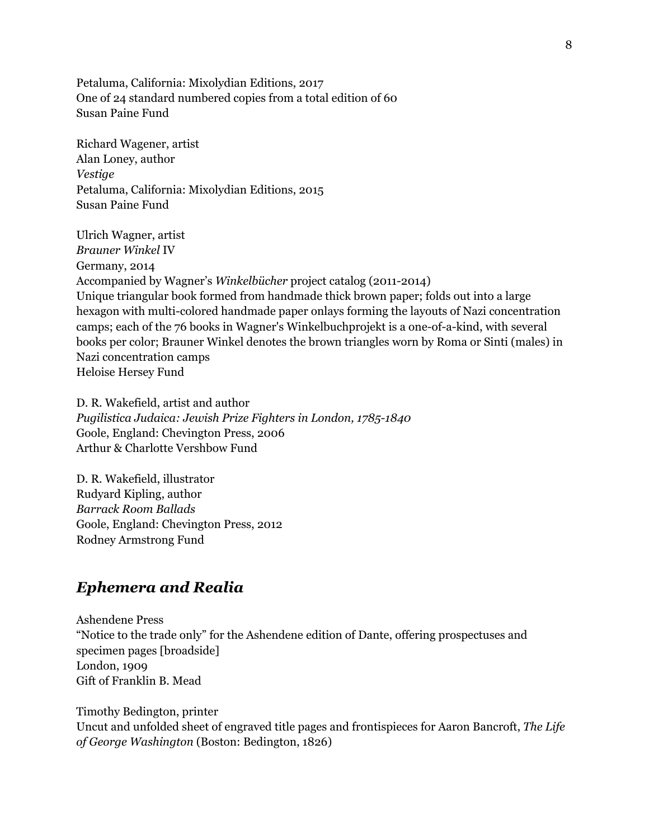Petaluma, California: Mixolydian Editions, 2017 One of 24 standard numbered copies from a total edition of 60 Susan Paine Fund

Richard Wagener, artist Alan Loney, author *Vestige* Petaluma, California: Mixolydian Editions, 2015 Susan Paine Fund

Ulrich Wagner, artist *Brauner Winkel* IV Germany, 2014 Accompanied by Wagner's *Winkelbücher* project catalog (2011-2014) Unique triangular book formed from handmade thick brown paper; folds out into a large hexagon with multi-colored handmade paper onlays forming the layouts of Nazi concentration camps; each of the 76 books in Wagner's Winkelbuchprojekt is a one-of-a-kind, with several books per color; Brauner Winkel denotes the brown triangles worn by Roma or Sinti (males) in Nazi concentration camps Heloise Hersey Fund

D. R. Wakefield, artist and author *Pugilistica Judaica: Jewish Prize Fighters in London, 1785-1840* Goole, England: Chevington Press, 2006 Arthur & Charlotte Vershbow Fund

D. R. Wakefield, illustrator Rudyard Kipling, author *Barrack Room Ballads* Goole, England: Chevington Press, 2012 Rodney Armstrong Fund

### *Ephemera and Realia*

Ashendene Press "Notice to the trade only" for the Ashendene edition of Dante, offering prospectuses and specimen pages [broadside] London, 1909 Gift of Franklin B. Mead

Timothy Bedington, printer Uncut and unfolded sheet of engraved title pages and frontispieces for Aaron Bancroft, *The Life of George Washington* (Boston: Bedington, 1826)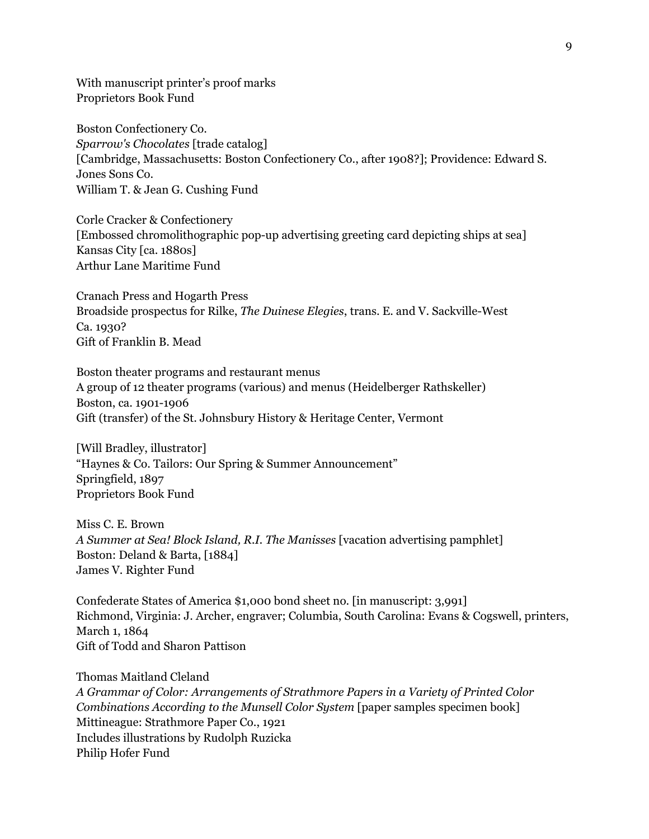With manuscript printer's proof marks Proprietors Book Fund

Boston Confectionery Co. *Sparrow's Chocolates* [trade catalog] [Cambridge, Massachusetts: Boston Confectionery Co., after 1908?]; Providence: Edward S. Jones Sons Co. William T. & Jean G. Cushing Fund

Corle Cracker & Confectionery [Embossed chromolithographic pop-up advertising greeting card depicting ships at sea] Kansas City [ca. 1880s] Arthur Lane Maritime Fund

Cranach Press and Hogarth Press Broadside prospectus for Rilke, *The Duinese Elegies*, trans. E. and V. Sackville-West Ca. 1930? Gift of Franklin B. Mead

Boston theater programs and restaurant menus A group of 12 theater programs (various) and menus (Heidelberger Rathskeller) Boston, ca. 1901-1906 Gift (transfer) of the St. Johnsbury History & Heritage Center, Vermont

[Will Bradley, illustrator] "Haynes & Co. Tailors: Our Spring & Summer Announcement" Springfield, 1897 Proprietors Book Fund

Miss C. E. Brown *A Summer at Sea! Block Island, R.I. The Manisses* [vacation advertising pamphlet] Boston: Deland & Barta, [1884] James V. Righter Fund

Confederate States of America \$1,000 bond sheet no. [in manuscript: 3,991] Richmond, Virginia: J. Archer, engraver; Columbia, South Carolina: Evans & Cogswell, printers, March 1, 1864 Gift of Todd and Sharon Pattison

Thomas Maitland Cleland *A Grammar of Color: Arrangements of Strathmore Papers in a Variety of Printed Color Combinations According to the Munsell Color System* [paper samples specimen book] Mittineague: Strathmore Paper Co., 1921 Includes illustrations by Rudolph Ruzicka Philip Hofer Fund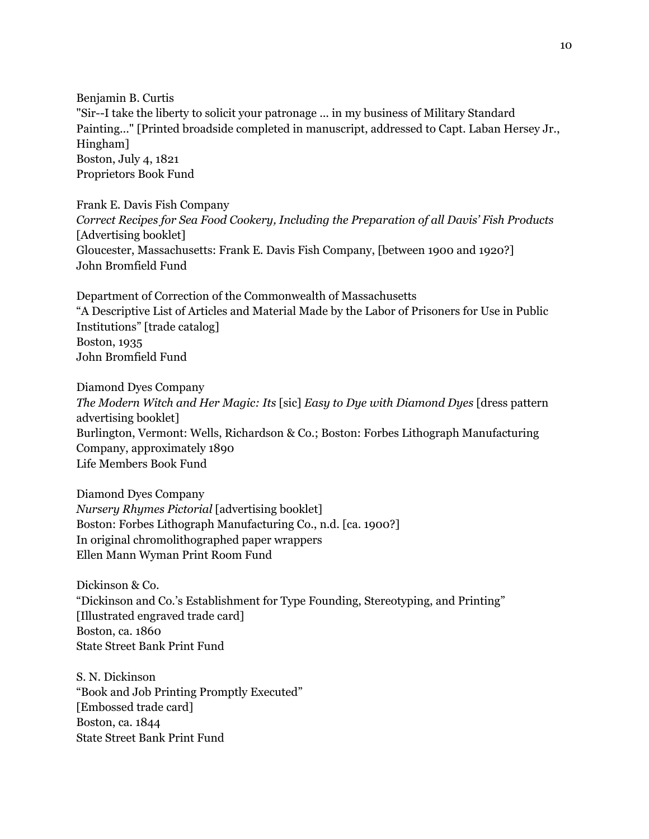Benjamin B. Curtis "Sir--I take the liberty to solicit your patronage ... in my business of Military Standard Painting..." [Printed broadside completed in manuscript, addressed to Capt. Laban Hersey Jr., Hingham] Boston, July 4, 1821 Proprietors Book Fund

Frank E. Davis Fish Company *Correct Recipes for Sea Food Cookery, Including the Preparation of all Davis' Fish Products* [Advertising booklet] Gloucester, Massachusetts: Frank E. Davis Fish Company, [between 1900 and 1920?] John Bromfield Fund

Department of Correction of the Commonwealth of Massachusetts "A Descriptive List of Articles and Material Made by the Labor of Prisoners for Use in Public Institutions" [trade catalog] Boston, 1935 John Bromfield Fund

Diamond Dyes Company *The Modern Witch and Her Magic: Its* [sic] *Easy to Dye with Diamond Dyes* [dress pattern advertising booklet] Burlington, Vermont: Wells, Richardson & Co.; Boston: Forbes Lithograph Manufacturing Company, approximately 1890 Life Members Book Fund

Diamond Dyes Company *Nursery Rhymes Pictorial* [advertising booklet] Boston: Forbes Lithograph Manufacturing Co., n.d. [ca. 1900?] In original chromolithographed paper wrappers Ellen Mann Wyman Print Room Fund

Dickinson & Co. "Dickinson and Co.'s Establishment for Type Founding, Stereotyping, and Printing" [Illustrated engraved trade card] Boston, ca. 1860 State Street Bank Print Fund

S. N. Dickinson "Book and Job Printing Promptly Executed" [Embossed trade card] Boston, ca. 1844 State Street Bank Print Fund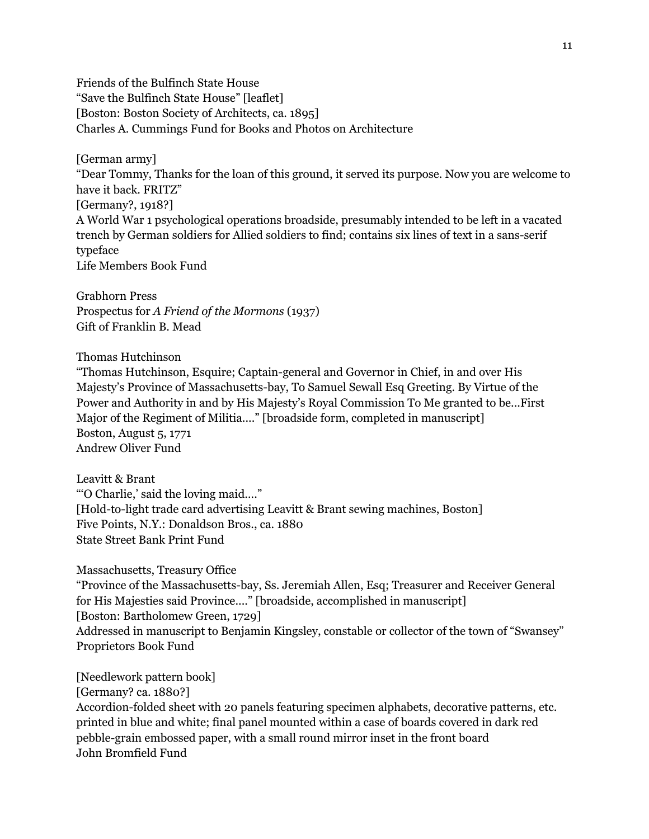Friends of the Bulfinch State House "Save the Bulfinch State House" [leaflet] [Boston: Boston Society of Architects, ca. 1895] Charles A. Cummings Fund for Books and Photos on Architecture

[German army]

"Dear Tommy, Thanks for the loan of this ground, it served its purpose. Now you are welcome to have it back. FRITZ" [Germany?, 1918?] A World War 1 psychological operations broadside, presumably intended to be left in a vacated trench by German soldiers for Allied soldiers to find; contains six lines of text in a sans-serif

typeface Life Members Book Fund

Grabhorn Press Prospectus for *A Friend of the Mormons* (1937) Gift of Franklin B. Mead

Thomas Hutchinson

"Thomas Hutchinson, Esquire; Captain-general and Governor in Chief, in and over His Majesty's Province of Massachusetts-bay, To Samuel Sewall Esq Greeting. By Virtue of the Power and Authority in and by His Majesty's Royal Commission To Me granted to be...First Major of the Regiment of Militia...." [broadside form, completed in manuscript] Boston, August 5, 1771 Andrew Oliver Fund

Leavitt & Brant "'O Charlie,' said the loving maid…." [Hold-to-light trade card advertising Leavitt & Brant sewing machines, Boston] Five Points, N.Y.: Donaldson Bros., ca. 1880 State Street Bank Print Fund

Massachusetts, Treasury Office "Province of the Massachusetts-bay, Ss. Jeremiah Allen, Esq; Treasurer and Receiver General for His Majesties said Province...." [broadside, accomplished in manuscript] [Boston: Bartholomew Green, 1729] Addressed in manuscript to Benjamin Kingsley, constable or collector of the town of "Swansey" Proprietors Book Fund

[Needlework pattern book] [Germany? ca. 1880?] Accordion-folded sheet with 20 panels featuring specimen alphabets, decorative patterns, etc. printed in blue and white; final panel mounted within a case of boards covered in dark red pebble-grain embossed paper, with a small round mirror inset in the front board John Bromfield Fund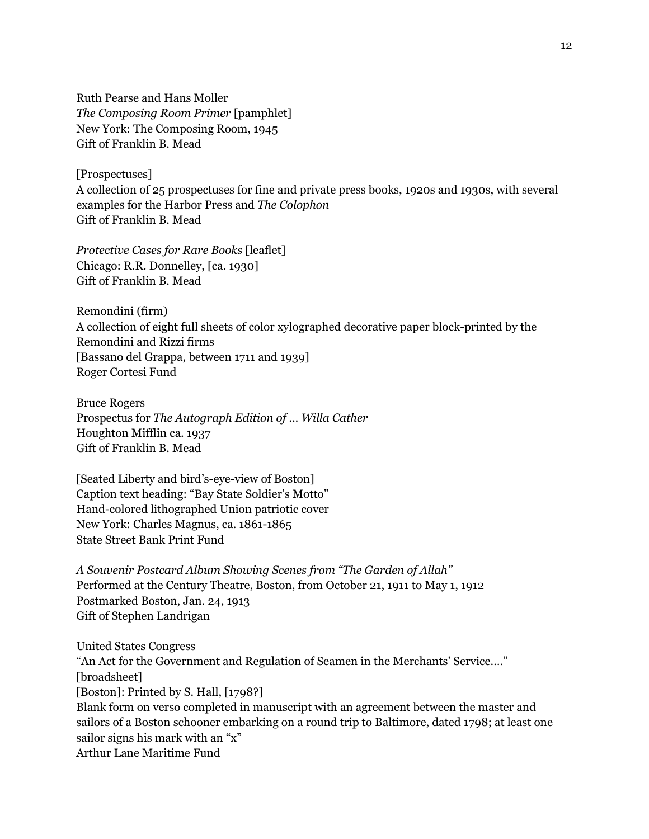Ruth Pearse and Hans Moller *The Composing Room Primer* [pamphlet] New York: The Composing Room, 1945 Gift of Franklin B. Mead

[Prospectuses]

A collection of 25 prospectuses for fine and private press books, 1920s and 1930s, with several examples for the Harbor Press and *The Colophon* Gift of Franklin B. Mead

*Protective Cases for Rare Books* [leaflet] Chicago: R.R. Donnelley, [ca. 1930] Gift of Franklin B. Mead

Remondini (firm) A collection of eight full sheets of color xylographed decorative paper block-printed by the Remondini and Rizzi firms [Bassano del Grappa, between 1711 and 1939] Roger Cortesi Fund

Bruce Rogers Prospectus for *The Autograph Edition of ... Willa Cather* Houghton Mifflin ca. 1937 Gift of Franklin B. Mead

[Seated Liberty and bird's-eye-view of Boston] Caption text heading: "Bay State Soldier's Motto" Hand-colored lithographed Union patriotic cover New York: Charles Magnus, ca. 1861-1865 State Street Bank Print Fund

*A Souvenir Postcard Album Showing Scenes from "The Garden of Allah"* Performed at the Century Theatre, Boston, from October 21, 1911 to May 1, 1912 Postmarked Boston, Jan. 24, 1913 Gift of Stephen Landrigan

United States Congress "An Act for the Government and Regulation of Seamen in the Merchants' Service.…" [broadsheet] [Boston]: Printed by S. Hall, [1798?] Blank form on verso completed in manuscript with an agreement between the master and sailors of a Boston schooner embarking on a round trip to Baltimore, dated 1798; at least one sailor signs his mark with an "x" Arthur Lane Maritime Fund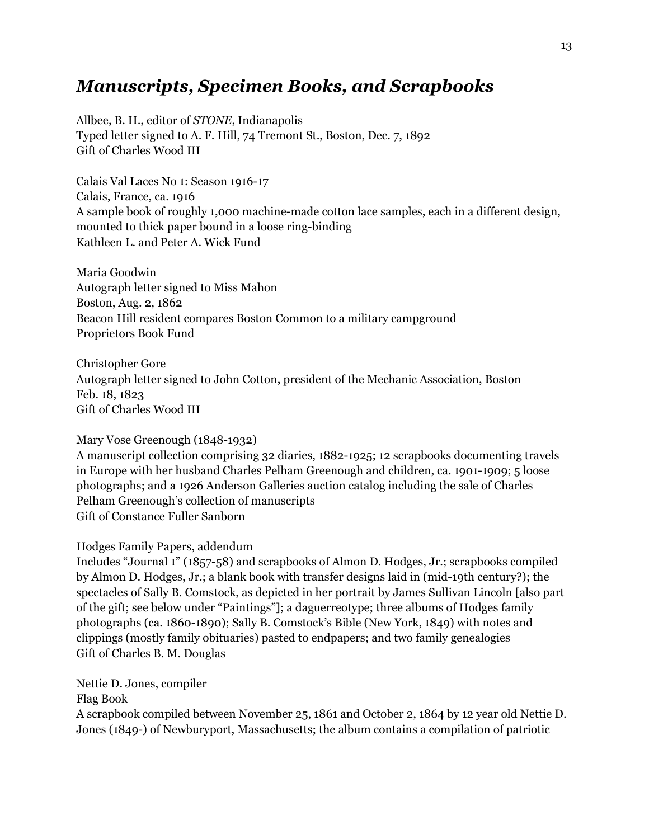# *Manuscripts, Specimen Books, and Scrapbooks*

Allbee, B. H., editor of *STONE*, Indianapolis Typed letter signed to A. F. Hill, 74 Tremont St., Boston, Dec. 7, 1892 Gift of Charles Wood III

Calais Val Laces No 1: Season 1916-17 Calais, France, ca. 1916 A sample book of roughly 1,000 machine-made cotton lace samples, each in a different design, mounted to thick paper bound in a loose ring-binding Kathleen L. and Peter A. Wick Fund

Maria Goodwin Autograph letter signed to Miss Mahon Boston, Aug. 2, 1862 Beacon Hill resident compares Boston Common to a military campground Proprietors Book Fund

Christopher Gore Autograph letter signed to John Cotton, president of the Mechanic Association, Boston Feb. 18, 1823 Gift of Charles Wood III

#### Mary Vose Greenough (1848-1932)

A manuscript collection comprising 32 diaries, 1882-1925; 12 scrapbooks documenting travels in Europe with her husband Charles Pelham Greenough and children, ca. 1901-1909; 5 loose photographs; and a 1926 Anderson Galleries auction catalog including the sale of Charles Pelham Greenough's collection of manuscripts Gift of Constance Fuller Sanborn

#### Hodges Family Papers, addendum

Includes "Journal 1" (1857-58) and scrapbooks of Almon D. Hodges, Jr.; scrapbooks compiled by Almon D. Hodges, Jr.; a blank book with transfer designs laid in (mid-19th century?); the spectacles of Sally B. Comstock, as depicted in her portrait by James Sullivan Lincoln [also part of the gift; see below under "Paintings"]; a daguerreotype; three albums of Hodges family photographs (ca. 1860-1890); Sally B. Comstock's Bible (New York, 1849) with notes and clippings (mostly family obituaries) pasted to endpapers; and two family genealogies Gift of Charles B. M. Douglas

Nettie D. Jones, compiler

Flag Book

A scrapbook compiled between November 25, 1861 and October 2, 1864 by 12 year old Nettie D. Jones (1849-) of Newburyport, Massachusetts; the album contains a compilation of patriotic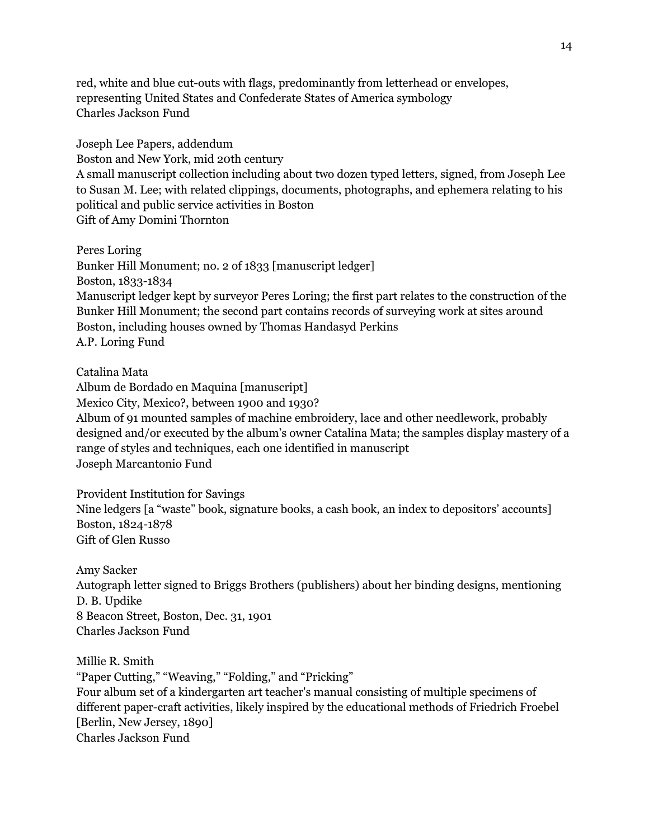red, white and blue cut-outs with flags, predominantly from letterhead or envelopes, representing United States and Confederate States of America symbology Charles Jackson Fund

Joseph Lee Papers, addendum Boston and New York, mid 20th century A small manuscript collection including about two dozen typed letters, signed, from Joseph Lee to Susan M. Lee; with related clippings, documents, photographs, and ephemera relating to his political and public service activities in Boston Gift of Amy Domini Thornton

Peres Loring Bunker Hill Monument; no. 2 of 1833 [manuscript ledger] Boston, 1833-1834 Manuscript ledger kept by surveyor Peres Loring; the first part relates to the construction of the Bunker Hill Monument; the second part contains records of surveying work at sites around Boston, including houses owned by Thomas Handasyd Perkins A.P. Loring Fund

Catalina Mata

Album de Bordado en Maquina [manuscript] Mexico City, Mexico?, between 1900 and 1930? Album of 91 mounted samples of machine embroidery, lace and other needlework, probably designed and/or executed by the album's owner Catalina Mata; the samples display mastery of a range of styles and techniques, each one identified in manuscript Joseph Marcantonio Fund

Provident Institution for Savings Nine ledgers [a "waste" book, signature books, a cash book, an index to depositors' accounts] Boston, 1824-1878 Gift of Glen Russo

Amy Sacker Autograph letter signed to Briggs Brothers (publishers) about her binding designs, mentioning D. B. Updike 8 Beacon Street, Boston, Dec. 31, 1901 Charles Jackson Fund

Millie R. Smith "Paper Cutting," "Weaving," "Folding," and "Pricking" Four album set of a kindergarten art teacher's manual consisting of multiple specimens of different paper-craft activities, likely inspired by the educational methods of Friedrich Froebel [Berlin, New Jersey, 1890] Charles Jackson Fund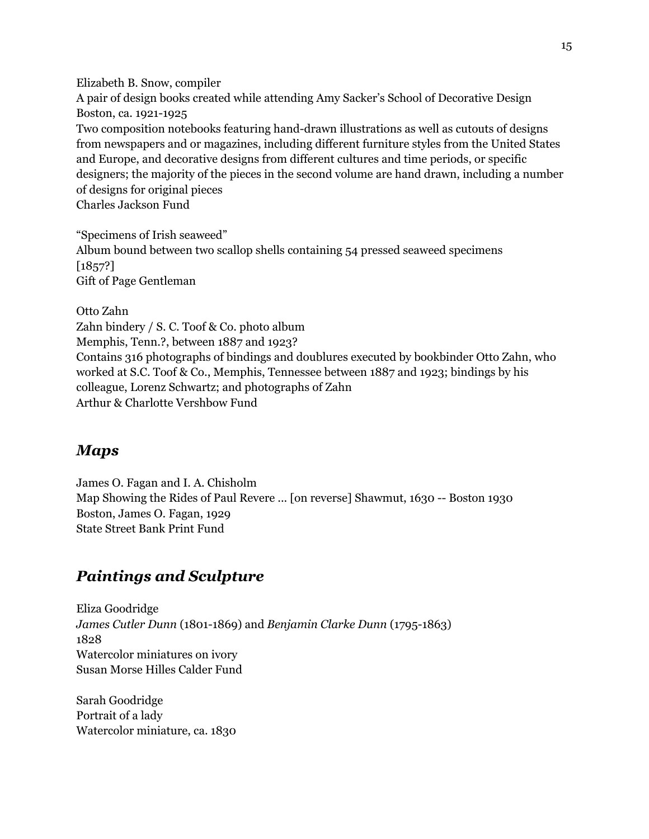Elizabeth B. Snow, compiler A pair of design books created while attending Amy Sacker's School of Decorative Design Boston, ca. 1921-1925 Two composition notebooks featuring hand-drawn illustrations as well as cutouts of designs from newspapers and or magazines, including different furniture styles from the United States and Europe, and decorative designs from different cultures and time periods, or specific designers; the majority of the pieces in the second volume are hand drawn, including a number of designs for original pieces Charles Jackson Fund

"Specimens of Irish seaweed" Album bound between two scallop shells containing 54 pressed seaweed specimens [1857?] Gift of Page Gentleman

Otto Zahn Zahn bindery / S. C. Toof & Co. photo album Memphis, Tenn.?, between 1887 and 1923? Contains 316 photographs of bindings and doublures executed by bookbinder Otto Zahn, who worked at S.C. Toof & Co., Memphis, Tennessee between 1887 and 1923; bindings by his colleague, Lorenz Schwartz; and photographs of Zahn Arthur & Charlotte Vershbow Fund

### *Maps*

James O. Fagan and I. A. Chisholm Map Showing the Rides of Paul Revere ... [on reverse] Shawmut, 1630 -- Boston 1930 Boston, James O. Fagan, 1929 State Street Bank Print Fund

### *Paintings and Sculpture*

Eliza Goodridge *James Cutler Dunn* (1801-1869) and *Benjamin Clarke Dunn* (1795-1863) 1828 Watercolor miniatures on ivory Susan Morse Hilles Calder Fund

Sarah Goodridge Portrait of a lady Watercolor miniature, ca. 1830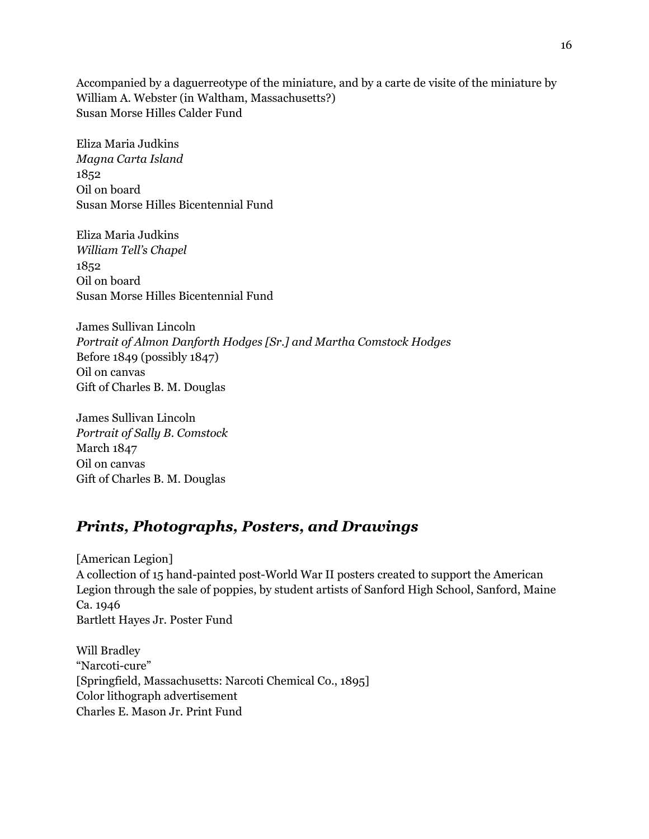Accompanied by a daguerreotype of the miniature, and by a carte de visite of the miniature by William A. Webster (in Waltham, Massachusetts?) Susan Morse Hilles Calder Fund

Eliza Maria Judkins *Magna Carta Island* 1852 Oil on board Susan Morse Hilles Bicentennial Fund

Eliza Maria Judkins *William Tell's Chapel* 1852 Oil on board Susan Morse Hilles Bicentennial Fund

James Sullivan Lincoln *Portrait of Almon Danforth Hodges [Sr.] and Martha Comstock Hodges* Before 1849 (possibly 1847) Oil on canvas Gift of Charles B. M. Douglas

James Sullivan Lincoln *Portrait of Sally B. Comstock* March 1847 Oil on canvas Gift of Charles B. M. Douglas

### *Prints, Photographs, Posters, and Drawings*

[American Legion] A collection of 15 hand-painted post-World War II posters created to support the American Legion through the sale of poppies, by student artists of Sanford High School, Sanford, Maine Ca. 1946 Bartlett Hayes Jr. Poster Fund

Will Bradley "Narcoti-cure" [Springfield, Massachusetts: Narcoti Chemical Co., 1895] Color lithograph advertisement Charles E. Mason Jr. Print Fund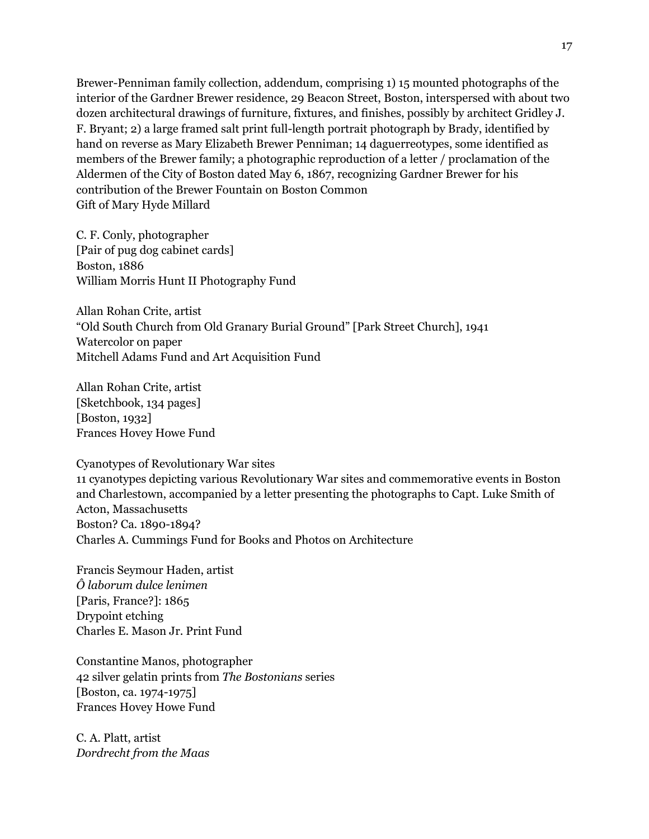Brewer-Penniman family collection, addendum, comprising 1) 15 mounted photographs of the interior of the Gardner Brewer residence, 29 Beacon Street, Boston, interspersed with about two dozen architectural drawings of furniture, fixtures, and finishes, possibly by architect Gridley J. F. Bryant; 2) a large framed salt print full-length portrait photograph by Brady, identified by hand on reverse as Mary Elizabeth Brewer Penniman; 14 daguerreotypes, some identified as members of the Brewer family; a photographic reproduction of a letter / proclamation of the Aldermen of the City of Boston dated May 6, 1867, recognizing Gardner Brewer for his contribution of the Brewer Fountain on Boston Common Gift of Mary Hyde Millard

C. F. Conly, photographer [Pair of pug dog cabinet cards] Boston, 1886 William Morris Hunt II Photography Fund

Allan Rohan Crite, artist "Old South Church from Old Granary Burial Ground" [Park Street Church], 1941 Watercolor on paper Mitchell Adams Fund and Art Acquisition Fund

Allan Rohan Crite, artist [Sketchbook, 134 pages] [Boston, 1932] Frances Hovey Howe Fund

Cyanotypes of Revolutionary War sites 11 cyanotypes depicting various Revolutionary War sites and commemorative events in Boston and Charlestown, accompanied by a letter presenting the photographs to Capt. Luke Smith of Acton, Massachusetts Boston? Ca. 1890-1894? Charles A. Cummings Fund for Books and Photos on Architecture

Francis Seymour Haden, artist *Ô laborum dulce lenimen* [Paris, France?]: 1865 Drypoint etching Charles E. Mason Jr. Print Fund

Constantine Manos, photographer 42 silver gelatin prints from *The Bostonians* series [Boston, ca. 1974-1975] Frances Hovey Howe Fund

C. A. Platt, artist *Dordrecht from the Maas*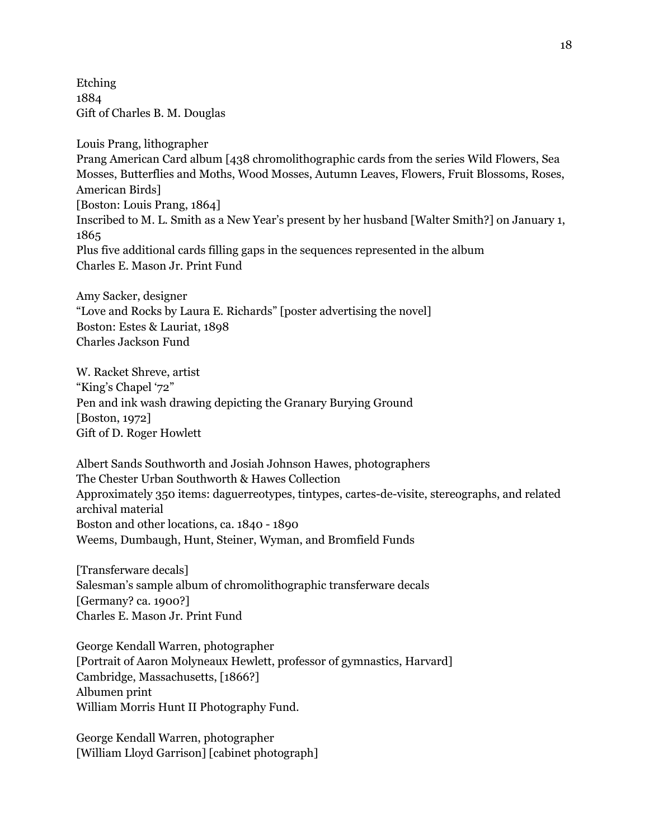Etching 1884 Gift of Charles B. M. Douglas

Louis Prang, lithographer Prang American Card album [438 chromolithographic cards from the series Wild Flowers, Sea Mosses, Butterflies and Moths, Wood Mosses, Autumn Leaves, Flowers, Fruit Blossoms, Roses, American Birds] [Boston: Louis Prang, 1864] Inscribed to M. L. Smith as a New Year's present by her husband [Walter Smith?] on January 1, 1865 Plus five additional cards filling gaps in the sequences represented in the album Charles E. Mason Jr. Print Fund

Amy Sacker, designer "Love and Rocks by Laura E. Richards" [poster advertising the novel] Boston: Estes & Lauriat, 1898 Charles Jackson Fund

W. Racket Shreve, artist "King's Chapel '72" Pen and ink wash drawing depicting the Granary Burying Ground [Boston, 1972] Gift of D. Roger Howlett

Albert Sands Southworth and Josiah Johnson Hawes, photographers The Chester Urban Southworth & Hawes Collection Approximately 350 items: daguerreotypes, tintypes, cartes-de-visite, stereographs, and related archival material Boston and other locations, ca. 1840 - 1890 Weems, Dumbaugh, Hunt, Steiner, Wyman, and Bromfield Funds

[Transferware decals] Salesman's sample album of chromolithographic transferware decals [Germany? ca. 1900?] Charles E. Mason Jr. Print Fund

George Kendall Warren, photographer [Portrait of Aaron Molyneaux Hewlett, professor of gymnastics, Harvard] Cambridge, Massachusetts, [1866?] Albumen print William Morris Hunt II Photography Fund.

George Kendall Warren, photographer [William Lloyd Garrison] [cabinet photograph]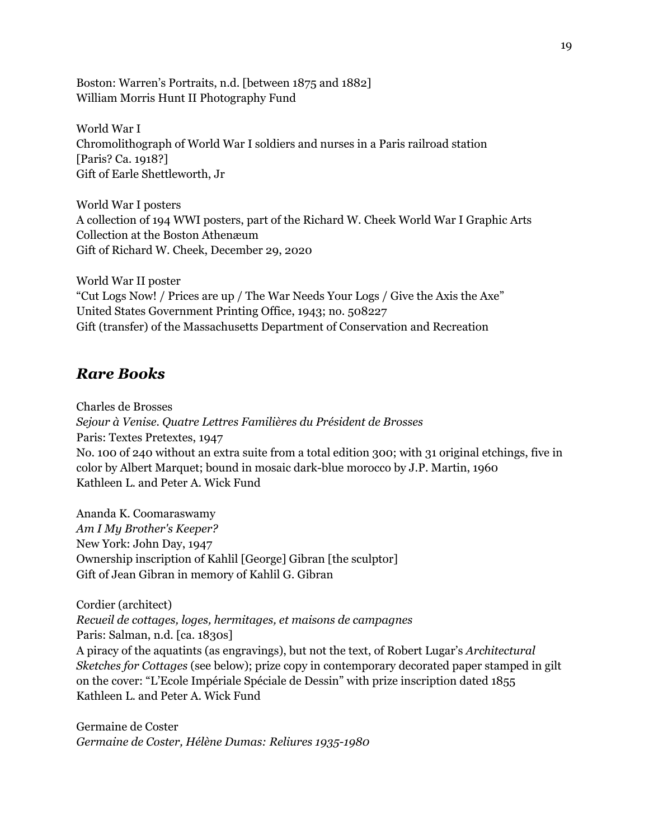Boston: Warren's Portraits, n.d. [between 1875 and 1882] William Morris Hunt II Photography Fund

World War I Chromolithograph of World War I soldiers and nurses in a Paris railroad station [Paris? Ca. 1918?] Gift of Earle Shettleworth, Jr

World War I posters A collection of 194 WWI posters, part of the Richard W. Cheek World War I Graphic Arts Collection at the Boston Athenæum Gift of Richard W. Cheek, December 29, 2020

World War II poster "Cut Logs Now! / Prices are up / The War Needs Your Logs / Give the Axis the Axe" United States Government Printing Office, 1943; no. 508227 Gift (transfer) of the Massachusetts Department of Conservation and Recreation

### *Rare Books*

Charles de Brosses *Sejour à Venise. Quatre Lettres Familières du Président de Brosses* Paris: Textes Pretextes, 1947 No. 100 of 240 without an extra suite from a total edition 300; with 31 original etchings, five in color by Albert Marquet; bound in mosaic dark-blue morocco by J.P. Martin, 1960 Kathleen L. and Peter A. Wick Fund

Ananda K. Coomaraswamy *Am I My Brother's Keeper?* New York: John Day, 1947 Ownership inscription of Kahlil [George] Gibran [the sculptor] Gift of Jean Gibran in memory of Kahlil G. Gibran

Cordier (architect) *Recueil de cottages, loges, hermitages, et maisons de campagnes* Paris: Salman, n.d. [ca. 1830s] A piracy of the aquatints (as engravings), but not the text, of Robert Lugar's *Architectural Sketches for Cottages* (see below); prize copy in contemporary decorated paper stamped in gilt on the cover: "L'Ecole Impériale Spéciale de Dessin" with prize inscription dated 1855 Kathleen L. and Peter A. Wick Fund

Germaine de Coster *Germaine de Coster, Hélène Dumas: Reliures 1935-1980*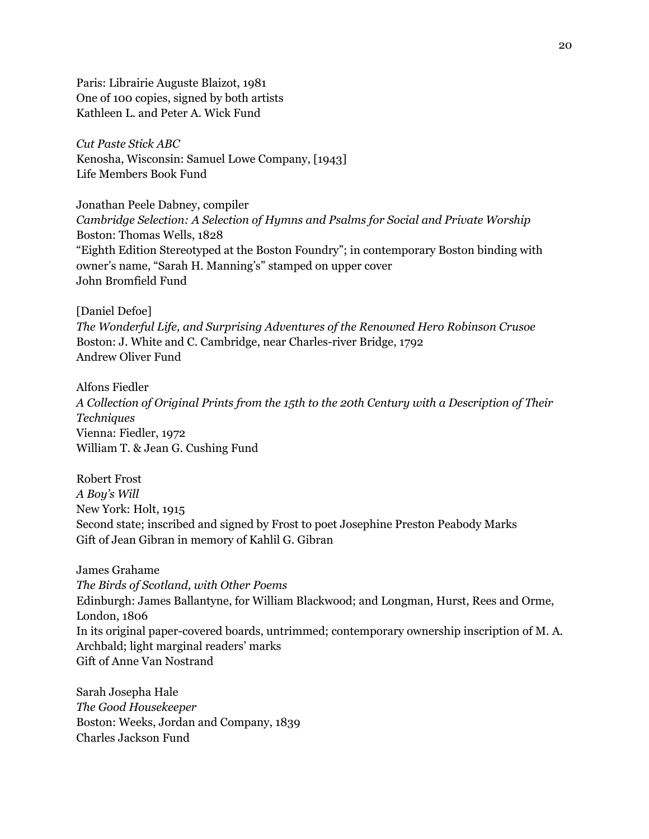Paris: Librairie Auguste Blaizot, 1981 One of 100 copies, signed by both artists Kathleen L. and Peter A. Wick Fund

*Cut Paste Stick ABC* Kenosha, Wisconsin: Samuel Lowe Company, [1943] Life Members Book Fund

Jonathan Peele Dabney, compiler *Cambridge Selection: A Selection of Hymns and Psalms for Social and Private Worship* Boston: Thomas Wells, 1828 "Eighth Edition Stereotyped at the Boston Foundry"; in contemporary Boston binding with owner's name, "Sarah H. Manning's" stamped on upper cover John Bromfield Fund

[Daniel Defoe]

*The Wonderful Life, and Surprising Adventures of the Renowned Hero Robinson Crusoe* Boston: J. White and C. Cambridge, near Charles-river Bridge, 1792 Andrew Oliver Fund

Alfons Fiedler *A Collection of Original Prints from the 15th to the 20th Century with a Description of Their Techniques* Vienna: Fiedler, 1972 William T. & Jean G. Cushing Fund

Robert Frost *A Boy's Will* New York: Holt, 1915 Second state; inscribed and signed by Frost to poet Josephine Preston Peabody Marks Gift of Jean Gibran in memory of Kahlil G. Gibran

James Grahame *The Birds of Scotland, with Other Poems* Edinburgh: James Ballantyne, for William Blackwood; and Longman, Hurst, Rees and Orme, London, 1806 In its original paper-covered boards, untrimmed; contemporary ownership inscription of M. A. Archbald; light marginal readers' marks Gift of Anne Van Nostrand

Sarah Josepha Hale *The Good Housekeeper* Boston: Weeks, Jordan and Company, 1839 Charles Jackson Fund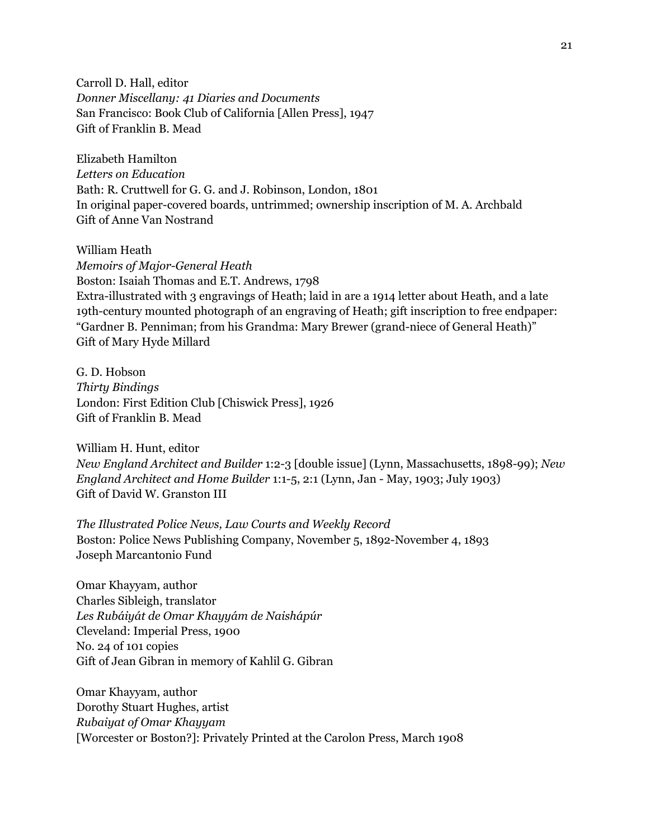Carroll D. Hall, editor *Donner Miscellany: 41 Diaries and Documents* San Francisco: Book Club of California [Allen Press], 1947 Gift of Franklin B. Mead

Elizabeth Hamilton *Letters on Education* Bath: R. Cruttwell for G. G. and J. Robinson, London, 1801 In original paper-covered boards, untrimmed; ownership inscription of M. A. Archbald Gift of Anne Van Nostrand

William Heath *Memoirs of Major-General Heath* Boston: Isaiah Thomas and E.T. Andrews, 1798 Extra-illustrated with 3 engravings of Heath; laid in are a 1914 letter about Heath, and a late 19th-century mounted photograph of an engraving of Heath; gift inscription to free endpaper: "Gardner B. Penniman; from his Grandma: Mary Brewer (grand-niece of General Heath)" Gift of Mary Hyde Millard

G. D. Hobson *Thirty Bindings* London: First Edition Club [Chiswick Press], 1926 Gift of Franklin B. Mead

William H. Hunt, editor *New England Architect and Builder* 1:2-3 [double issue] (Lynn, Massachusetts, 1898-99); *New England Architect and Home Builder* 1:1-5, 2:1 (Lynn, Jan - May, 1903; July 1903) Gift of David W. Granston III

*The Illustrated Police News, Law Courts and Weekly Record* Boston: Police News Publishing Company, November 5, 1892-November 4, 1893 Joseph Marcantonio Fund

Omar Khayyam, author Charles Sibleigh, translator *Les Rubáiyát de Omar Khayyám de Naishápúr* Cleveland: Imperial Press, 1900 No. 24 of 101 copies Gift of Jean Gibran in memory of Kahlil G. Gibran

Omar Khayyam, author Dorothy Stuart Hughes, artist *Rubaiyat of Omar Khayyam* [Worcester or Boston?]: Privately Printed at the Carolon Press, March 1908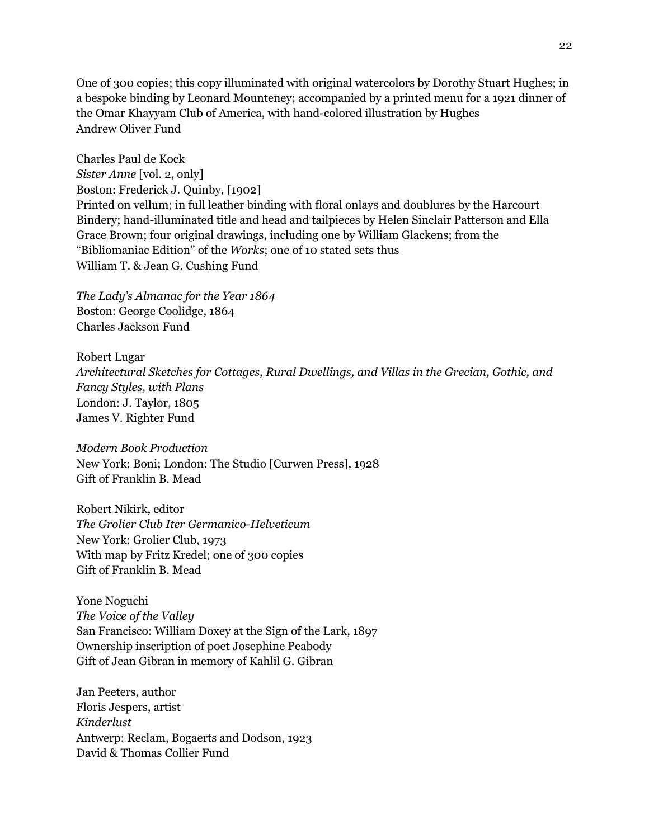One of 300 copies; this copy illuminated with original watercolors by Dorothy Stuart Hughes; in a bespoke binding by Leonard Mounteney; accompanied by a printed menu for a 1921 dinner of the Omar Khayyam Club of America, with hand-colored illustration by Hughes Andrew Oliver Fund

Charles Paul de Kock *Sister Anne* [vol. 2, only] Boston: Frederick J. Quinby, [1902] Printed on vellum; in full leather binding with floral onlays and doublures by the Harcourt Bindery; hand-illuminated title and head and tailpieces by Helen Sinclair Patterson and Ella Grace Brown; four original drawings, including one by William Glackens; from the "Bibliomaniac Edition" of the *Works*; one of 10 stated sets thus William T. & Jean G. Cushing Fund

*The Lady's Almanac for the Year 1864* Boston: George Coolidge, 1864 Charles Jackson Fund

Robert Lugar *Architectural Sketches for Cottages, Rural Dwellings, and Villas in the Grecian, Gothic, and Fancy Styles, with Plans* London: J. Taylor, 1805 James V. Righter Fund

*Modern Book Production* New York: Boni; London: The Studio [Curwen Press], 1928 Gift of Franklin B. Mead

Robert Nikirk, editor *The Grolier Club Iter Germanico-Helveticum* New York: Grolier Club, 1973 With map by Fritz Kredel; one of 300 copies Gift of Franklin B. Mead

Yone Noguchi *The Voice of the Valley* San Francisco: William Doxey at the Sign of the Lark, 1897 Ownership inscription of poet Josephine Peabody Gift of Jean Gibran in memory of Kahlil G. Gibran

Jan Peeters, author Floris Jespers, artist *Kinderlust* Antwerp: Reclam, Bogaerts and Dodson, 1923 David & Thomas Collier Fund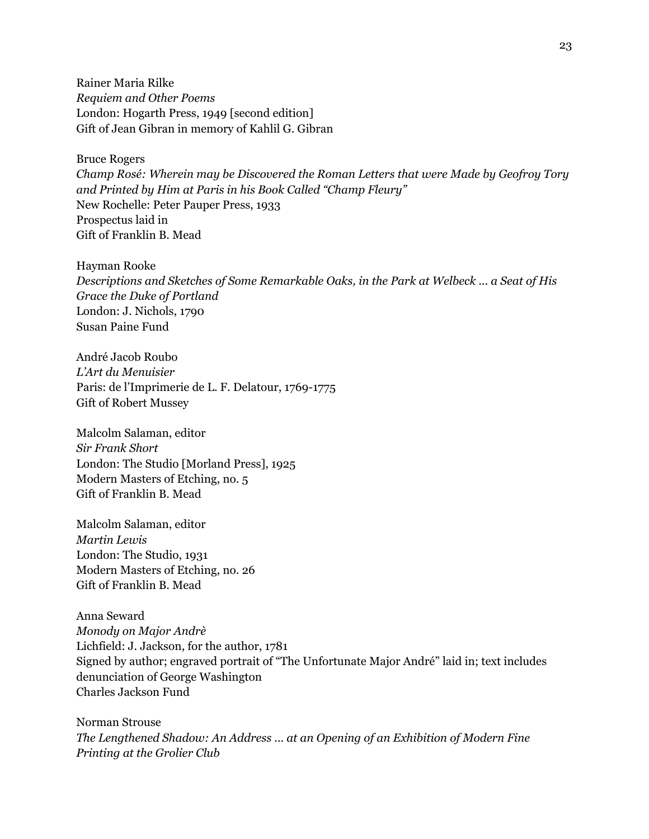Rainer Maria Rilke *Requiem and Other Poems* London: Hogarth Press, 1949 [second edition] Gift of Jean Gibran in memory of Kahlil G. Gibran

Bruce Rogers

*Champ Rosé: Wherein may be Discovered the Roman Letters that were Made by Geofroy Tory and Printed by Him at Paris in his Book Called "Champ Fleury"* New Rochelle: Peter Pauper Press, 1933 Prospectus laid in Gift of Franklin B. Mead

Hayman Rooke *Descriptions and Sketches of Some Remarkable Oaks, in the Park at Welbeck ... a Seat of His Grace the Duke of Portland* London: J. Nichols, 1790 Susan Paine Fund

André Jacob Roubo *L'Art du Menuisier* Paris: de l'Imprimerie de L. F. Delatour, 1769-1775 Gift of Robert Mussey

Malcolm Salaman, editor *Sir Frank Short* London: The Studio [Morland Press], 1925 Modern Masters of Etching, no. 5 Gift of Franklin B. Mead

Malcolm Salaman, editor *Martin Lewis* London: The Studio, 1931 Modern Masters of Etching, no. 26 Gift of Franklin B. Mead

Anna Seward *Monody on Major Andrè* Lichfield: J. Jackson, for the author, 1781 Signed by author; engraved portrait of "The Unfortunate Major André" laid in; text includes denunciation of George Washington Charles Jackson Fund

Norman Strouse *The Lengthened Shadow: An Address ... at an Opening of an Exhibition of Modern Fine Printing at the Grolier Club*